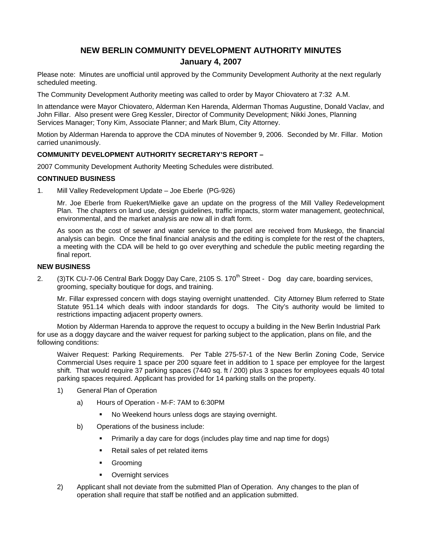# **NEW BERLIN COMMUNITY DEVELOPMENT AUTHORITY MINUTES January 4, 2007**

Please note: Minutes are unofficial until approved by the Community Development Authority at the next regularly scheduled meeting.

The Community Development Authority meeting was called to order by Mayor Chiovatero at 7:32 A.M.

In attendance were Mayor Chiovatero, Alderman Ken Harenda, Alderman Thomas Augustine, Donald Vaclav, and John Fillar. Also present were Greg Kessler, Director of Community Development; Nikki Jones, Planning Services Manager; Tony Kim, Associate Planner; and Mark Blum, City Attorney.

Motion by Alderman Harenda to approve the CDA minutes of November 9, 2006. Seconded by Mr. Fillar. Motion carried unanimously.

### **COMMUNITY DEVELOPMENT AUTHORITY SECRETARY'S REPORT –**

2007 Community Development Authority Meeting Schedules were distributed.

### **CONTINUED BUSINESS**

1. Mill Valley Redevelopment Update – Joe Eberle (PG-926)

Mr. Joe Eberle from Ruekert/Mielke gave an update on the progress of the Mill Valley Redevelopment Plan. The chapters on land use, design guidelines, traffic impacts, storm water management, geotechnical, environmental, and the market analysis are now all in draft form.

As soon as the cost of sewer and water service to the parcel are received from Muskego, the financial analysis can begin. Once the final financial analysis and the editing is complete for the rest of the chapters, a meeting with the CDA will be held to go over everything and schedule the public meeting regarding the final report.

### **NEW BUSINESS**

2. (3) TK CU-7-06 Central Bark Doggy Day Care, 2105 S.  $170<sup>th</sup>$  Street - Dog day care, boarding services, grooming, specialty boutique for dogs, and training.

Mr. Fillar expressed concern with dogs staying overnight unattended. City Attorney Blum referred to State Statute 951.14 which deals with indoor standards for dogs. The City's authority would be limited to restrictions impacting adjacent property owners.

Motion by Alderman Harenda to approve the request to occupy a building in the New Berlin Industrial Park for use as a doggy daycare and the waiver request for parking subject to the application, plans on file, and the following conditions:

Waiver Request: Parking Requirements. Per Table 275-57-1 of the New Berlin Zoning Code, Service Commercial Uses require 1 space per 200 square feet in addition to 1 space per employee for the largest shift. That would require 37 parking spaces (7440 sq. ft / 200) plus 3 spaces for employees equals 40 total parking spaces required. Applicant has provided for 14 parking stalls on the property.

- 1) General Plan of Operation
	- a) Hours of Operation M-F: 7AM to 6:30PM
		- No Weekend hours unless dogs are staying overnight.
	- b) Operations of the business include:
		- Primarily a day care for dogs (includes play time and nap time for dogs)
		- Retail sales of pet related items
		- **•** Grooming
		- **•** Overnight services
- 2) Applicant shall not deviate from the submitted Plan of Operation. Any changes to the plan of operation shall require that staff be notified and an application submitted.